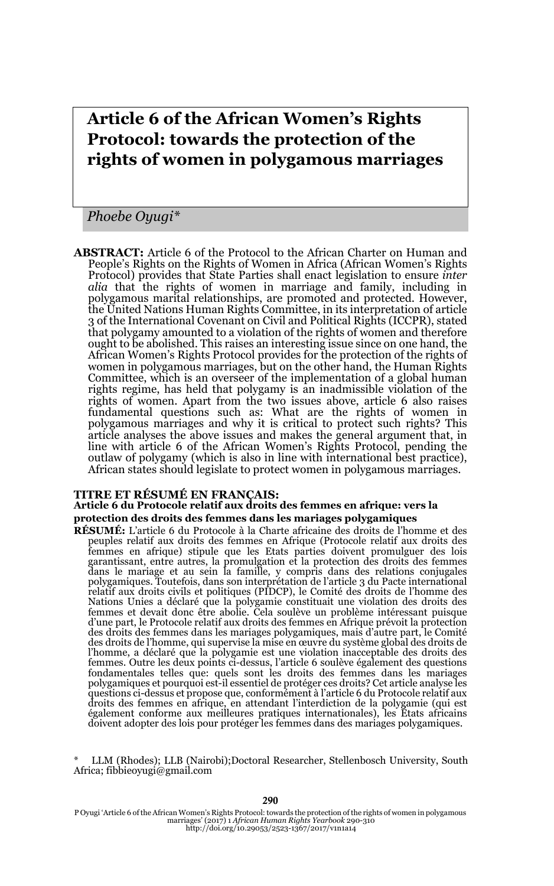# **Article 6 of the African Women's Rights Protocol: towards the protection of the rights of women in polygamous marriages**

*Phoebe Oyugi\**

**ABSTRACT:** Article 6 of the Protocol to the African Charter on Human and People's Rights on the Rights of Women in Africa (African Women's Rights Protocol) provides that State Parties shall enact legislation to ensure *inter alia* that the rights of women in marriage and family, including in polygamous marital relationships, are promoted and protected. However, the United Nations Human Rights Committee, in its interpretation of article 3 of the International Covenant on Civil and Political Rights (ICCPR), stated that polygamy amounted to a violation of the rights of women and therefore ought to be abolished. This raises an interesting issue since on one hand, the African Women's Rights Protocol provides for the protection of the rights of women in polygamous marriages, but on the other hand, the Human Rights Committee, which is an overseer of the implementation of a global human rights regime, has held that polygamy is an inadmissible violation of the rights of women. Apart from the two issues above, article 6 also raises fundamental questions such as: What are the rights of women in polygamous marriages and why it is critical to protect such rights? This article analyses the above issues and makes the general argument that, in line with article 6 of the African Women's Rights Protocol, pending the outlaw of polygamy (which is also in line with international best practice), African states should legislate to protect women in polygamous marriages.

#### **TITRE ET RÉSUMÉ EN FRANÇAIS:**

#### **Article 6 du Protocole relatif aux droits des femmes en afrique: vers la protection des droits des femmes dans les mariages polygamiques**

**RÉSUMÉ:** L'article 6 du Protocole à la Charte africaine des droits de l'homme et des peuples relatif aux droits des femmes en Afrique (Protocole relatif aux droits des femmes en afrique) stipule que les Etats parties doivent promulguer des lois<br>garantissant, entre autres, la promulgation et la protection des droits des femmes<br>dans le mariage et au sein la famille, y compris dans des rela polygamiques. Toutefois, dans son interprétation de l'article 3 du Pacte international relatif aux droits civils et politiques (PIDCP), le Comité des droits de l'homme des Nations Unies a déclaré que la polygamie constituait une violation des droits des femmes et devait donc être abolie. Cela soulève un problème intéressant puisque d'une part, le Protocole relatif aux droits des femmes en Afrique prévoit la protection des droits des femmes dans les mariages polygamiques, mais d'autre part, le Comité des droits de l'homme, qui supervise la mise en œuvre du système global des droits de l'homme, a déclaré que la polygamie est une violation inacceptable des droits des femmes. Outre les deux points ci-dessus, l'article 6 soulève également des questions fondamentales telles que: quels sont les droits des femmes dans les mariages polygamiques et pourquoi est-il essentiel de protéger ces droits? Cet article analyse les questions ci-dessus et propose que, conformément à l'article 6 du Protocole relatif aux droits des femmes en afrique, en attendant l'interdiction de la polygamie (qui est également conforme aux meilleures pratiques internationales), les États africains doivent adopter des lois pour protéger les femmes dans des mariages polygamiques.

LLM (Rhodes); LLB (Nairobi);Doctoral Researcher, Stellenbosch University, South Africa; fibbieoyugi@gmail.com

P Oyugi 'Article 6 of the African Women's Rights Protocol: towards the protection of the rights of women in polygamous marriages' (2017) 1 *African Human Rights Yearbook* 290-310 http://doi.org/10.29053/2523-1367/2017/v1n1a14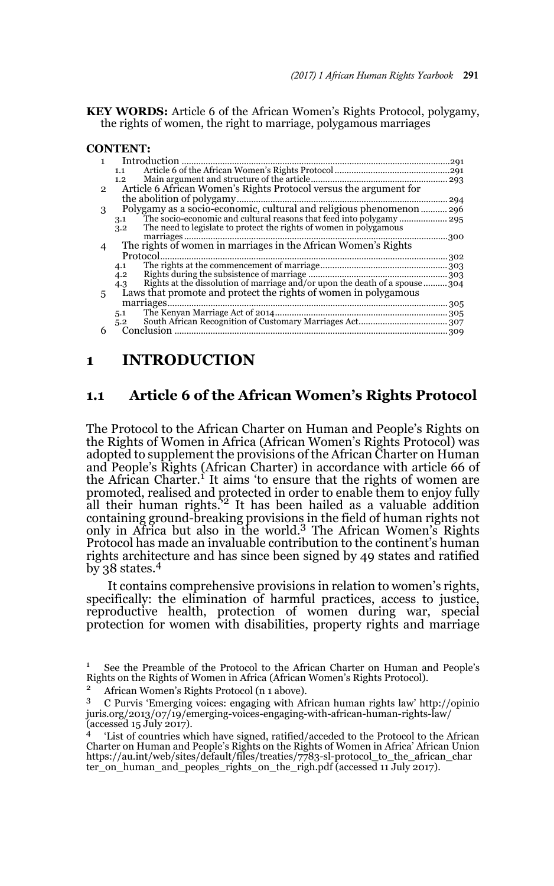**KEY WORDS:** Article 6 of the African Women's Rights Protocol, polygamy, the rights of women, the right to marriage, polygamous marriages

#### **CONTENT:**

|    | Introduction<br>291                                                               |      |
|----|-----------------------------------------------------------------------------------|------|
|    | 1.1                                                                               |      |
|    | 1.2                                                                               |      |
| 2  | Article 6 African Women's Rights Protocol versus the argument for                 |      |
|    |                                                                                   | 294  |
| 3  |                                                                                   |      |
|    | 3.1                                                                               |      |
|    | The need to legislate to protect the rights of women in polygamous<br>3.2         |      |
|    |                                                                                   | .300 |
|    |                                                                                   |      |
|    | Protocol<br>302                                                                   |      |
|    | 4.1                                                                               |      |
|    | 4.2                                                                               |      |
|    | Rights at the dissolution of marriage and/or upon the death of a spouse304<br>4.3 |      |
| 5. | Laws that promote and protect the rights of women in polygamous                   |      |
|    | marriages                                                                         |      |
|    | 5.1                                                                               |      |
|    | 5.2                                                                               |      |
|    | Conclusion                                                                        |      |

# **1 INTRODUCTION**

#### **1.1 Article 6 of the African Women's Rights Protocol**

The Protocol to the African Charter on Human and People's Rights on the Rights of Women in Africa (African Women's Rights Protocol) was adopted to supplement the provisions of the African Charter on Human and People's Rights (African Charter) in accordance with article 66 of the African Charter.<sup>1</sup> It aims 'to ensure that the rights of women are promoted, realised and protected in order to enable them to enjoy fully<br>all their human rights.'<sup>2</sup> It has been hailed as a valuable addition containing ground-breaking provisions in the field of human rights not only in Africa but also in the world.3 The African Women's Rights Protocol has made an invaluable contribution to the continent's human rights architecture and has since been signed by 49 states and ratified by 38 states.<sup>4</sup>

It contains comprehensive provisions in relation to women's rights, specifically: the elimination of harmful practices, access to justice, reproductive health, protection of women during war, special protection for women with disabilities, property rights and marriage

<sup>1</sup> See the Preamble of the Protocol to the African Charter on Human and People's Rights on the Rights of Women in Africa (African Women's Rights Protocol).

<sup>2</sup> African Women's Rights Protocol (n 1 above).

<sup>3</sup> C Purvis 'Emerging voices: engaging with African human rights law' http://opinio juris.org/2013/07/19/emerging-voices-engaging-with-african-human-rights-law/ (accessed 15 July 2017).

<sup>&#</sup>x27;List of countries which have signed, ratified/acceded to the Protocol to the African Charter on Human and People's Rights on the Rights of Women in Africa' African Union https://au.int/web/sites/default/files/treaties/7783-sl-protocol\_to\_the\_african\_char ter\_on\_human\_and\_peoples\_rights\_on\_the\_righ.pdf (accessed 11 July 2017).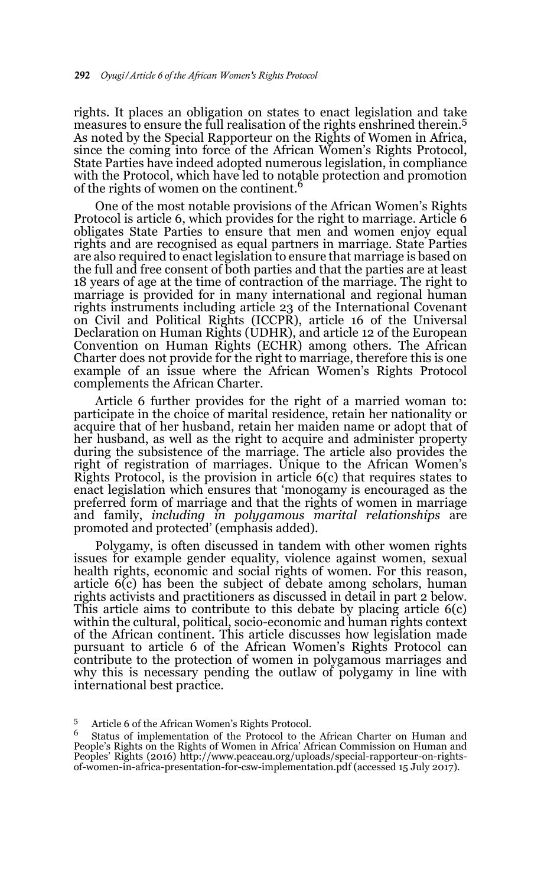rights. It places an obligation on states to enact legislation and take measures to ensure the full realisation of the rights enshrined therein.<sup>5</sup> As noted by the Special Rapporteur on the Rights of Women in Africa, since the coming into force of the African Women's Rights Protocol, State Parties have indeed adopted numerous legislation, in compliance with the Protocol, which have led to notable protection and promotion of the rights of women on the continent.<sup>6</sup>

One of the most notable provisions of the African Women's Rights Protocol is article 6, which provides for the right to marriage. Article 6 obligates State Parties to ensure that men and women enjoy equal rights and are recognised as equal partners in marriage. State Parties are also required to enact legislation to ensure that marriage is based on the full and free consent of both parties and that the parties are at least 18 years of age at the time of contraction of the marriage. The right to marriage is provided for in many international and regional human rights instruments including article 23 of the International Covenant on Civil and Political Rights (ICCPR), article 16 of the Universal Declaration on Human Rights (UDHR), and article 12 of the European Convention on Human Rights (ECHR) among others. The African Charter does not provide for the right to marriage, therefore this is one example of an issue where the African Women's Rights Protocol complements the African Charter.

Article 6 further provides for the right of a married woman to: participate in the choice of marital residence, retain her nationality or acquire that of her husband, retain her maiden name or adopt that of her husband, as well as the right to acquire and administer property during the subsistence of the marriage. The article also provides the right of registration of marriages. Unique to the African Women's Rights Protocol, is the provision in article 6(c) that requires states to enact legislation which ensures that 'monogamy is encouraged as the preferred form of marriage and that the rights of women in marriage and family, *including in polygamous marital relationships* are promoted and protected' (emphasis added).

Polygamy, is often discussed in tandem with other women rights issues for example gender equality, violence against women, sexual health rights, economic and social rights of women. For this reason, article 6(c) has been the subject of debate among scholars, human rights activists and practitioners as discussed in detail in part 2 below. This article aims to contribute to this debate by placing article 6(c) within the cultural, political, socio-economic and human rights context of the African continent. This article discusses how legislation made pursuant to article 6 of the African Women's Rights Protocol can contribute to the protection of women in polygamous marriages and why this is necessary pending the outlaw of polygamy in line with international best practice.

 $5$  Article 6 of the African Women's Rights Protocol.

<sup>6</sup> Status of implementation of the Protocol to the African Charter on Human and People's Rights on the Rights of Women in Africa' African Commission on Human and Peoples' Rights (2016) http://www.peaceau.org/uploads/special-rapporteur-on-rightsof-women-in-africa-presentation-for-csw-implementation.pdf (accessed 15 July 2017).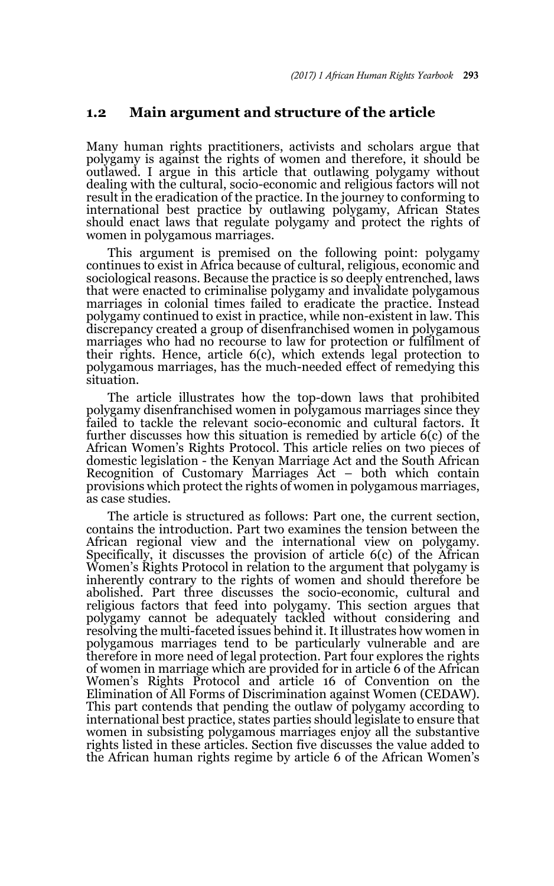#### **1.2 Main argument and structure of the article**

Many human rights practitioners, activists and scholars argue that polygamy is against the rights of women and therefore, it should be outlawed. I argue in this article that outlawing polygamy without dealing with the cultural, socio-economic and religious factors will not result in the eradication of the practice. In the journey to conforming to international best practice by outlawing polygamy, African States should enact laws that regulate polygamy and protect the rights of women in polygamous marriages.

This argument is premised on the following point: polygamy continues to exist in Africa because of cultural, religious, economic and sociological reasons. Because the practice is so deeply entrenched, laws that were enacted to criminalise polygamy and invalidate polygamous marriages in colonial times failed to eradicate the practice. Instead polygamy continued to exist in practice, while non-existent in law. This discrepancy created a group of disenfranchised women in polygamous marriages who had no recourse to law for protection or fulfilment of their rights. Hence, article 6(c), which extends legal protection to polygamous marriages, has the much-needed effect of remedying this situation.

The article illustrates how the top-down laws that prohibited polygamy disenfranchised women in polygamous marriages since they failed to tackle the relevant socio-economic and cultural factors. It further discusses how this situation is remedied by article 6(c) of the African Women's Rights Protocol. This article relies on two pieces of domestic legislation - the Kenyan Marriage Act and the South African Recognition of Customary Marriages Act – both which contain provisions which protect the rights of women in polygamous marriages, as case studies.

The article is structured as follows: Part one, the current section, contains the introduction. Part two examines the tension between the African regional view and the international view on polygamy. Specifically, it discusses the provision of article 6(c) of the African Women's Rights Protocol in relation to the argument that polygamy is inherently contrary to the rights of women and should therefore be abolished. Part three discusses the socio-economic, cultural and religious factors that feed into polygamy. This section argues that polygamy cannot be adequately tackled without considering and resolving the multi-faceted issues behind it. It illustrates how women in polygamous marriages tend to be particularly vulnerable and are therefore in more need of legal protection. Part four explores the rights of women in marriage which are provided for in article 6 of the African Women's Rights Protocol and article 16 of Convention on the Elimination of All Forms of Discrimination against Women (CEDAW). This part contends that pending the outlaw of polygamy according to international best practice, states parties should legislate to ensure that women in subsisting polygamous marriages enjoy all the substantive rights listed in these articles. Section five discusses the value added to the African human rights regime by article 6 of the African Women's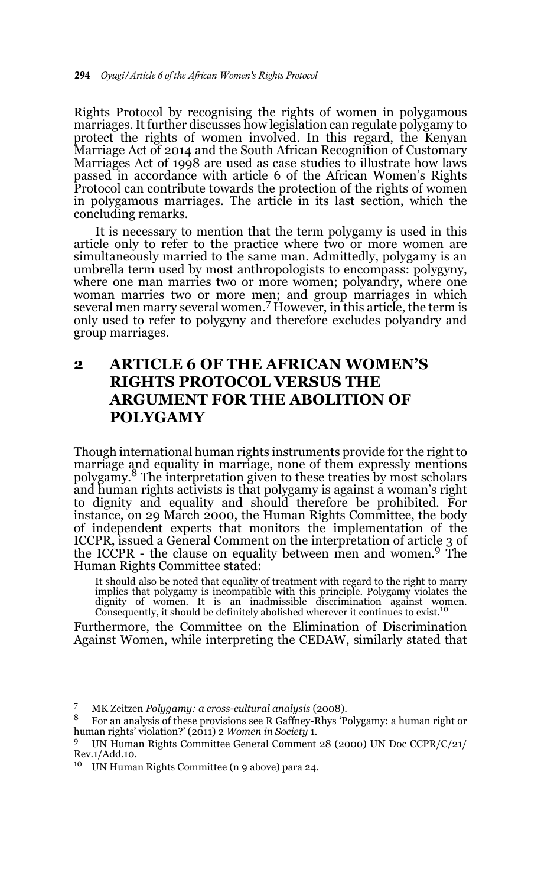Rights Protocol by recognising the rights of women in polygamous marriages. It further discusses how legislation can regulate polygamy to protect the rights of women involved. In this regard, the Kenyan Marriage Act of 2014 and the South African Recognition of Customary Marriages Act of 1998 are used as case studies to illustrate how laws passed in accordance with article 6 of the African Women's Rights Protocol can contribute towards the protection of the rights of women in polygamous marriages. The article in its last section, which the concluding remarks.

It is necessary to mention that the term polygamy is used in this article only to refer to the practice where two or more women are simultaneously married to the same man. Admittedly, polygamy is an umbrella term used by most anthropologists to encompass: polygyny, where one man marries two or more women; polyandry, where one woman marries two or more men; and group marriages in which several men marry several women.<sup>7</sup> However, in this article, the term is only used to refer to polygyny and therefore excludes polyandry and group marriages.

# **2 ARTICLE 6 OF THE AFRICAN WOMEN'S RIGHTS PROTOCOL VERSUS THE ARGUMENT FOR THE ABOLITION OF POLYGAMY**

Though international human rights instruments provide for the right to marriage and equality in marriage, none of them expressly mentions polygamy.8 The interpretation given to these treaties by most scholars and human rights activists is that polygamy is against a woman's right to dignity and equality and should therefore be prohibited. For instance, on 29 March 2000, the Human Rights Committee, the body of independent experts that monitors the implementation of the ICCPR, issued a General Comment on the interpretation of article 3 of the ICCPR - the clause on equality between men and women.9 The Human Rights Committee stated:

It should also be noted that equality of treatment with regard to the right to marry<br>implies that polygamy is incompatible with this principle. Polygamy violates the<br>dignity of women. It is an inadmissible discrimination a

Furthermore, the Committee on the Elimination of Discrimination Against Women, while interpreting the CEDAW, similarly stated that

<sup>10</sup> UN Human Rights Committee (n 9 above) para 24.

<sup>7</sup> MK Zeitzen *Polygamy: a cross-cultural analysis* (2008).

<sup>8</sup> For an analysis of these provisions see R Gaffney-Rhys 'Polygamy: a human right or human rights' violation?' (2011) 2 *Women in Society* 1*.*

<sup>9</sup> UN Human Rights Committee General Comment 28 (2000) UN Doc CCPR/C/21/ Rev.1/Add.10.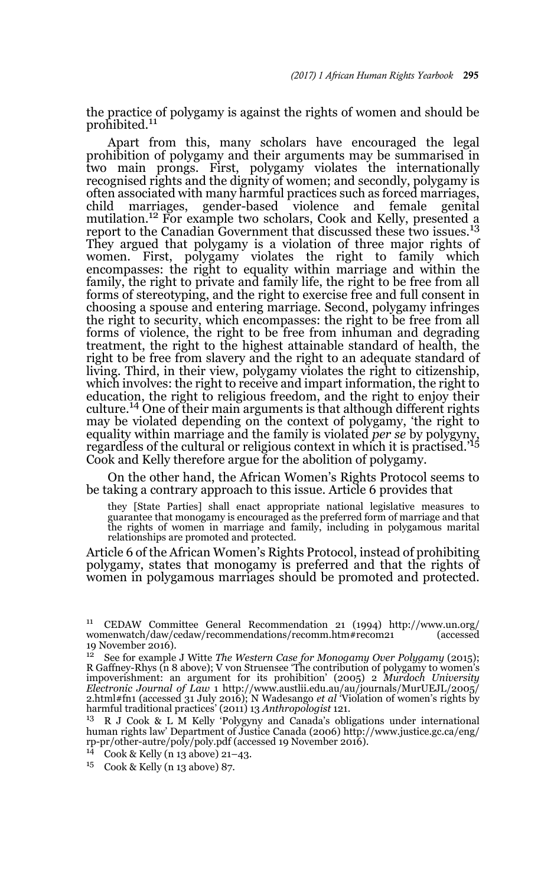the practice of polygamy is against the rights of women and should be prohibited.<sup>11</sup>

Apart from this, many scholars have encouraged the legal prohibition of polygamy and their arguments may be summarised in two main prongs. First, polygamy violates the internationally recognised rights and the dignity of women; and secondly, polygamy is often associated with many harmful practices such as forced marriages, child marriages, gender-based violence and female genital mutilation.<sup>12</sup> For example two scholars, Cook and Kelly, presented a report to the Canadian Government that discussed these two issues.<sup>13</sup> They argued that polygamy is a violation of three major rights of women. First, polygamy violates the right to family which encompasses: the right to equality within marriage and within the family, the right to private and family life, the right to be free from all forms of stereotyping, and the right to exercise free and full consent in choosing a spouse and entering marriage. Second, polygamy infringes the right to security, which encompasses: the right to be free from all forms of violence, the right to be free from inhuman and degrading treatment, the right to the highest attainable standard of health, the right to be free from slavery and the right to an adequate standard of living. Third, in their view, polygamy violates the right to citizenship, which involves: the right to receive and impart information, the right to education, the right to religious freedom, and the right to enjoy their culture.14 One of their main arguments is that although different rights may be violated depending on the context of polygamy, 'the right to equality within marriage and the family is violated *per se* by polygyny, regardless of the cultural or religious context in which it is practised.'<sup>15</sup> Cook and Kelly therefore argue for the abolition of polygamy.

On the other hand, the African Women's Rights Protocol seems to be taking a contrary approach to this issue. Article 6 provides that

they [State Parties] shall enact appropriate national legislative measures to guarantee that monogamy is encouraged as the preferred form of marriage and that the rights of women in marriage and family, including in polygamous marital relationships are promoted and protected.

Article 6 of the African Women's Rights Protocol, instead of prohibiting polygamy, states that monogamy is preferred and that the rights of women in polygamous marriages should be promoted and protected.

<sup>&</sup>lt;sup>11</sup> CEDAW Committee General Recommendation 21 (1994) http://www.un.org/<br>womenwatch/daw/recommendations/recomm.htm#recom21 (accessed womenwatch/daw/cedaw/recommendations/recomm.htm#recom21 19 November 2016).

<sup>12</sup> See for example J Witte *The Western Case for Monogamy Over Polygamy* (2015); R Gaffney-Rhys (n 8 above); V von Struensee 'The contribution of polygamy to women's impoverishment: an argument for its prohibition' (2005) 2 *Murdoch University Electronic Journal of Law* 1 http://www.austlii.edu.au/au/journals/MurUEJL/2005/ 2.html#fn1 (accessed 31 July 2016); N Wadesango *et al* 'Violation of women's rights by harmful traditional practices' (2011) 13 *Anthropologist* 121.

<sup>13</sup> R J Cook & L M Kelly 'Polygyny and Canada's obligations under international human rights law' Department of Justice Canada (2006) http://www.justice.gc.ca/eng/ rp-pr/other-autre/poly/poly.pdf (accessed 19 November 2016).

<sup>14</sup> Cook & Kelly (n 13 above) 21–43.

<sup>15</sup> Cook & Kelly (n 13 above) 87.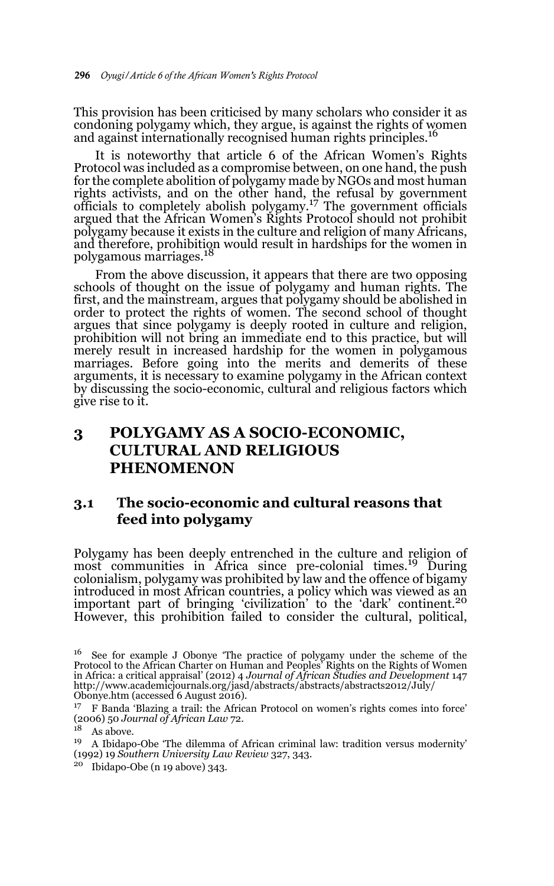This provision has been criticised by many scholars who consider it as condoning polygamy which, they argue, is against the rights of women and against internationally recognised human rights principles.16

It is noteworthy that article 6 of the African Women's Rights Protocol was included as a compromise between, on one hand, the push for the complete abolition of polygamy made by NGOs and most human rights activists, and on the other hand, the refusal by government officials to completely abolish polygamy.17 The government officials argued that the African Women's Rights Protocol should not prohibit polygamy because it exists in the culture and religion of many Africans, and therefore, prohibition would result in hardships for the women in<br>polygamous marriages.<sup>18</sup>

From the above discussion, it appears that there are two opposing schools of thought on the issue of polygamy and human rights. The first, and the mainstream, argues that polygamy should be abolished in order to protect the rights of women. The second school of thought argues that since polygamy is deeply rooted in culture and religion, prohibition will not bring an immediate end to this practice, but will merely result in increased hardship for the women in polygamous marriages. Before going into the merits and demerits of these arguments, it is necessary to examine polygamy in the African context by discussing the socio-economic, cultural and religious factors which give rise to it.

# **3 POLYGAMY AS A SOCIO-ECONOMIC, CULTURAL AND RELIGIOUS PHENOMENON**

### **3.1 The socio-economic and cultural reasons that feed into polygamy**

Polygamy has been deeply entrenched in the culture and religion of most communities in Africa since pre-colonial times.<sup>19</sup> During colonialism, polygamy was prohibited by law and the offence of bigamy introduced in most African countries, a policy which was viewed as an important part of bringing 'civilization' to the 'dark' continent.<sup>20</sup> However, this prohibition failed to consider the cultural, political,

<sup>20</sup> Ibidapo-Obe (n 19 above) 343.

 $16$  See for example J Obonye 'The practice of polygamy under the scheme of the Protocol to the African Charter on Human and Peoples' Rights on the Rights of Women in Africa: a critical appraisal' (2012) 4 *Journal of African Studies and Development* 147 http://www.academicjournals.org/jasd/abstracts/abstracts/abstracts2012/July/ Obonye.htm (accessed 6 August 2016).

<sup>17</sup> F Banda 'Blazing a trail: the African Protocol on women's rights comes into force' (2006) 50 *Journal of African Law* 72.

 $18$  As above.

<sup>19</sup> A Ibidapo-Obe 'The dilemma of African criminal law: tradition versus modernity' (1992) 19 *Southern University Law Review* 327, 343.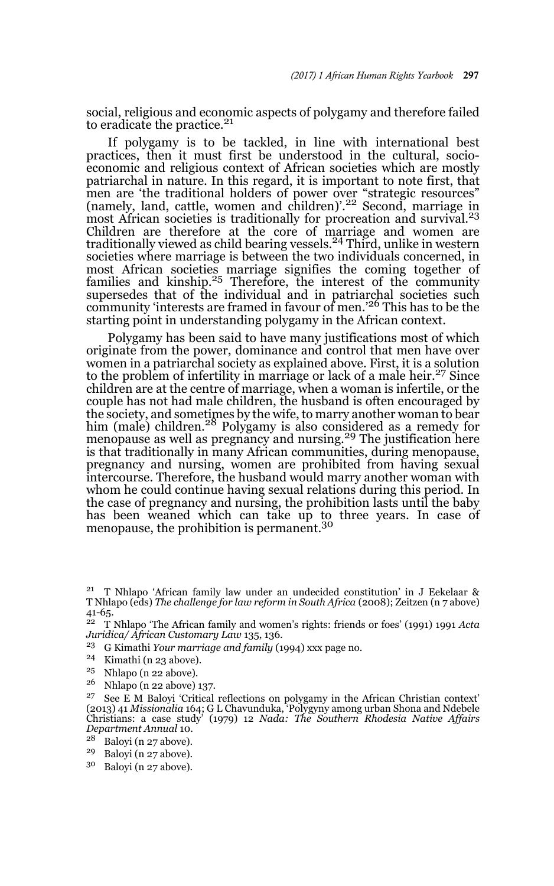social, religious and economic aspects of polygamy and therefore failed to eradicate the practice.<sup>21</sup>

If polygamy is to be tackled, in line with international best practices, then it must first be understood in the cultural, socioeconomic and religious context of African societies which are mostly patriarchal in nature. In this regard, it is important to note first, that men are 'the traditional holders of power over "strategic resources"<br>(namely, land, cattle, women and children)'.<sup>22</sup> Second, marriage in most African societies is traditionally for procreation and survival.<sup>23</sup> Children are therefore at the core of marriage and women are traditionally viewed as child bearing vessels.24 Third, unlike in western societies where marriage is between the two individuals concerned, in most African societies marriage signifies the coming together of families and kinship. $25$  Therefore, the interest of the community supersedes that of the individual and in patriarchal societies such community 'interests are framed in favour of men.'26 This has to be the starting point in understanding polygamy in the African context.

Polygamy has been said to have many justifications most of which originate from the power, dominance and control that men have over women in a patriarchal society as explained above. First, it is a solution to the problem of infertility in marriage or lack of a male heir.<sup>27</sup> Since children are at the centre of marriage, when a woman is infertile, or the couple has not had male children, the husband is often encouraged by the society, and sometimes by the wife, to marry another woman to bear him (male) children.<sup>28</sup> Polygamy is also considered as a remedy for menopause as well as pregnancy and nursing.<sup>29</sup> The justification here is that traditionally in many African communities, during menopause, pregnancy and nursing, women are prohibited from having sexual intercourse. Therefore, the husband would marry another woman with whom he could continue having sexual relations during this period. In the case of pregnancy and nursing, the prohibition lasts until the baby has been weaned which can take up to three years. In case of menopause, the prohibition is permanent.<sup>30</sup>

- <sup>23</sup> G Kimathi *Your marriage and family* (1994) xxx page no.
- <sup>24</sup> Kimathi (n 23 above).
- <sup>25</sup> Nhlapo (n 22 above).<br><sup>26</sup> Nhlapo (n 29 above).
- <sup>26</sup> Nhlapo (n 22 above) 137.

- Baloyi (n 27 above).
- <sup>29</sup> Baloyi (n 27 above).<br> $^{30}$  Bolovi (n 27 above).
- Baloyi (n 27 above).

<sup>21</sup> T Nhlapo 'African family law under an undecided constitution' in J Eekelaar & T Nhlapo (eds) *The challenge for law reform in South Africa* (2008); Zeitzen (n 7 above) 41-65.

<sup>22</sup> T Nhlapo 'The African family and women's rights: friends or foes' (1991) 1991 *Acta Juridica/ African Customary Law* 135, 136.

<sup>&</sup>lt;sup>27</sup> See E M Baloyi 'Critical reflections on polygamy in the African Christian context' (2013) 41 *Missionalia* 164; G L Chavunduka, 'Polygyny among urban Shona and Ndebele Christians: a case study' (1979) 12 *Nada: The S Department Annual* 10.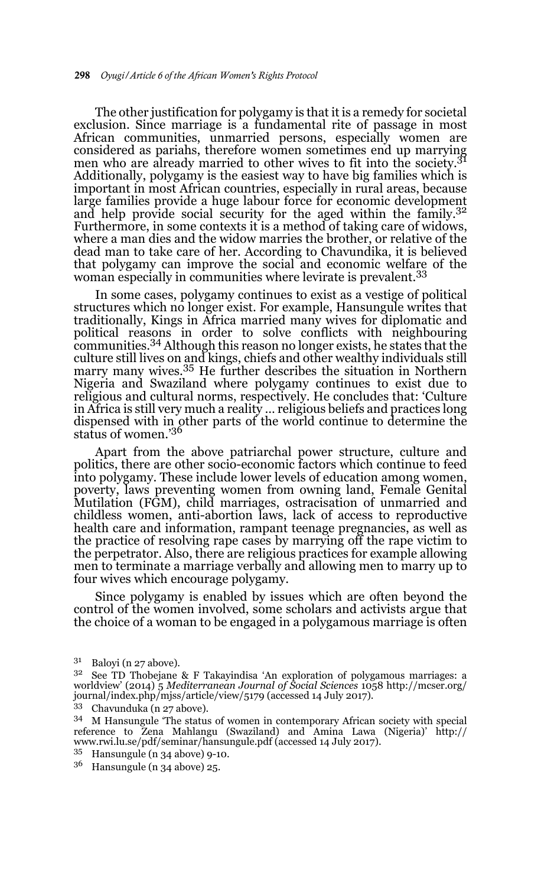The other justification for polygamy is that it is a remedy for societal exclusion. Since marriage is a fundamental rite of passage in most African communities, unmarried persons, especially women are considered as pariahs, therefore women sometimes end up marrying men who are already married to other wives to fit into the society.<sup>31</sup> Additionally, polygamy is the easiest way to have big families which is important in most African countries, especially in rural areas, because large families provide a huge labour force for economic development and help provide social security for the aged within the family.<sup>32</sup> Furthermore, in some contexts it is a method of taking care of widows, where a man dies and the widow marries the brother, or relative of the dead man to take care of her. According to Chavundika, it is believed that polygamy can improve the social and economic welfare of the woman especially in communities where levirate is prevalent.<sup>33</sup>

In some cases, polygamy continues to exist as a vestige of political structures which no longer exist. For example, Hansungule writes that traditionally, Kings in Africa married many wives for diplomatic and political reasons in order to solve conflicts with neighbouring communities.34 Although this reason no longer exists, he states that the culture still lives on and kings, chiefs and other wealthy individuals still marry many wives.35 He further describes the situation in Northern Nigeria and Swaziland where polygamy continues to exist due to religious and cultural norms, respectively. He concludes that: 'Culture in Africa is still very much a reality … religious beliefs and practices long dispensed with in other parts of the world continue to determine the status of women.'36

Apart from the above patriarchal power structure, culture and politics, there are other socio-economic factors which continue to feed into polygamy. These include lower levels of education among women, poverty, laws preventing women from owning land, Female Genital Mutilation (FGM), child marriages, ostracisation of unmarried and childless women, anti-abortion laws, lack of access to reproductive health care and information, rampant teenage pregnancies, as well as the practice of resolving rape cases by marrying off the rape victim to the perpetrator. Also, there are religious practices for example allowing men to terminate a marriage verbally and allowing men to marry up to four wives which encourage polygamy.

Since polygamy is enabled by issues which are often beyond the control of the women involved, some scholars and activists argue that the choice of a woman to be engaged in a polygamous marriage is often

- <sup>35</sup> Hansungule (n 34 above) 9-10.
- $3<sup>6</sup>$  Hansungule (n 34 above) 25.

 $^{31}$  Baloyi (n 27 above).<br> $^{32}$  See TD Thobeiane

<sup>32</sup> See TD Thobejane & F Takayindisa 'An exploration of polygamous marriages: a worldview' (2014) 5 *Mediterranean Journal of Social Sciences* 1058 http://mcser.org/ journal/index.php/mjss/article/view/5179 (accessed 14 July 2017).

<sup>33</sup> Chavunduka (n 27 above).

<sup>34</sup> M Hansungule 'The status of women in contemporary African society with special reference to Zena Mahlangu (Swaziland) and Amina Lawa (Nigeria)' http:// www.rwi.lu.se/pdf/seminar/hansungule.pdf (accessed 14 July 2017).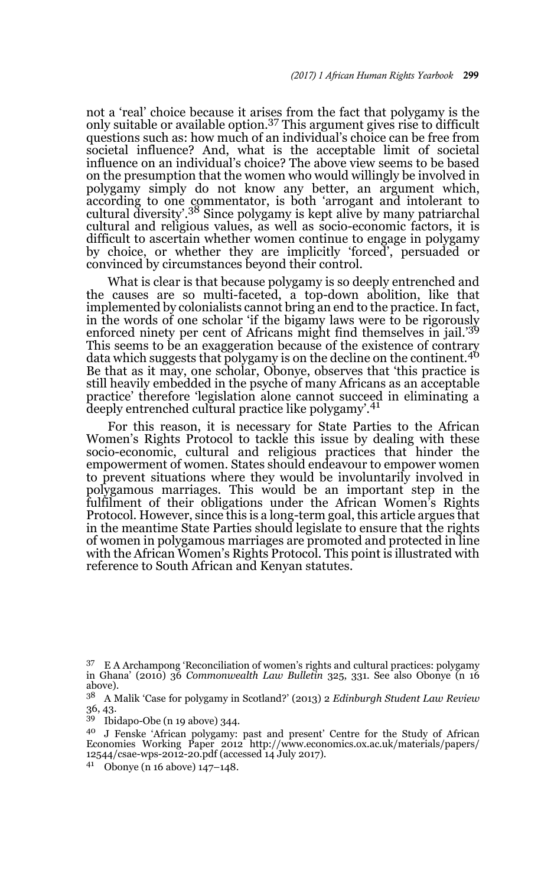not a 'real' choice because it arises from the fact that polygamy is the only suitable or available option.37 This argument gives rise to difficult questions such as: how much of an individual's choice can be free from societal influence? And, what is the acceptable limit of societal influence on an individual's choice? The above view seems to be based on the presumption that the women who would willingly be involved in polygamy simply do not know any better, an argument which, according to one commentator, is both 'arrogant and intolerant to cultural diversity'.38 Since polygamy is kept alive by many patriarchal cultural and religious values, as well as socio-economic factors, it is difficult to ascertain whether women continue to engage in polygamy by choice, or whether they are implicitly 'forced', persuaded or convinced by circumstances beyond their control.

What is clear is that because polygamy is so deeply entrenched and the causes are so multi-faceted, a top-down abolition, like that implemented by colonialists cannot bring an end to the practice. In fact, in the words of one scholar 'if the bigamy laws were to be rigorously enforced ninety per cent of Africans might find themselves in jail.'<sup>39</sup> This seems to be an exaggeration because of the existence of contrary data which suggests that polygamy is on the decline on the continent.<sup>40</sup> Be that as it may, one scholar, Obonye, observes that 'this practice is still heavily embedded in the psyche of many Africans as an acceptable practice' therefore 'legislation alone cannot succeed in eliminating a deeply entrenched cultural practice like polygamy'.<sup>41</sup>

For this reason, it is necessary for State Parties to the African Women's Rights Protocol to tackle this issue by dealing with these socio-economic, cultural and religious practices that hinder the empowerment of women. States should endeavour to empower women to prevent situations where they would be involuntarily involved in polygamous marriages. This would be an important step in the fulfilment of their obligations under the African Women's Rights Protocol. However, since this is a long-term goal, this article argues that in the meantime State Parties should legislate to ensure that the rights of women in polygamous marriages are promoted and protected in line with the African Women's Rights Protocol. This point is illustrated with reference to South African and Kenyan statutes.

- <sup>39</sup> Ibidapo-Obe (n 19 above) 344.
- <sup>40</sup> J Fenske 'African polygamy: past and present' Centre for the Study of African Economies Working Paper 2012 http://www.economics.ox.ac.uk/materials/papers/ 12544/csae-wps-2012-20.pdf (accessed 14 July 2017).
- <sup>41</sup> Obonye (n 16 above) 147–148.

<sup>&</sup>lt;sup>37</sup> E A Archampong 'Reconciliation of women's rights and cultural practices: polygamy in Ghana' (2010) 36 *Commonwealth Law Bulletin* 325, 331. See also Obonye (n 16 above).

<sup>38</sup> A Malik 'Case for polygamy in Scotland?' (2013) 2 *Edinburgh Student Law Review* 36, 43.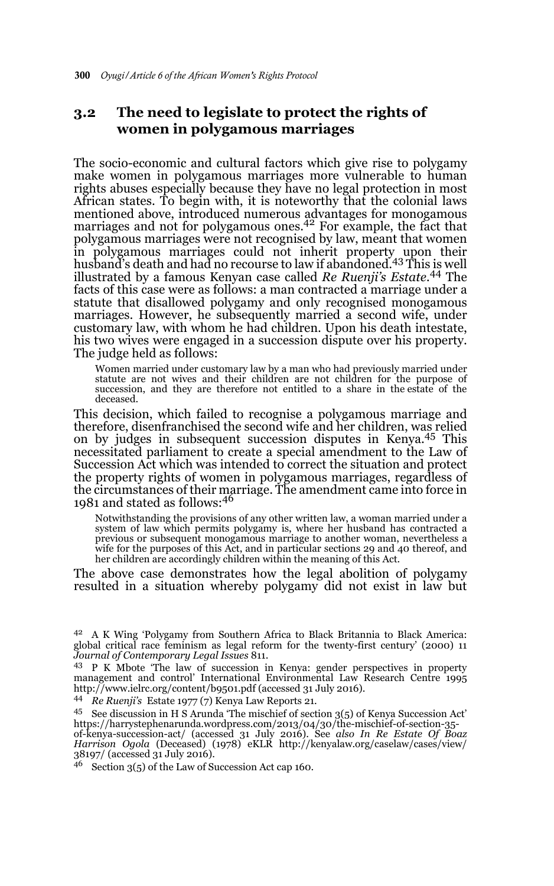# **3.2 The need to legislate to protect the rights of women in polygamous marriages**

The socio-economic and cultural factors which give rise to polygamy make women in polygamous marriages more vulnerable to human rights abuses especially because they have no legal protection in most African states. To begin with, it is noteworthy that the colonial laws mentioned above, introduced numerous advantages for monogamous marriages and not for polygamous ones.<sup>42</sup> For example, the fact that polygamous marriages were not recognised by law, meant that women in polygamous marriages could not inherit property upon their husband's death and had no recourse to law if abandoned.43 This is well illustrated by a famous Kenyan case called *Re Ruenji's Estate.*<sup>44</sup> The facts of this case were as follows: a man contracted a marriage under a statute that disallowed polygamy and only recognised monogamous marriages. However, he subsequently married a second wife, under customary law, with whom he had children. Upon his death intestate, his two wives were engaged in a succession dispute over his property. The judge held as follows:

Women married under customary law by a man who had previously married under statute are not wives and their children are not children for the purpose of succession, and they are therefore not entitled to a share in the estate of the deceased.

This decision, which failed to recognise a polygamous marriage and therefore, disenfranchised the second wife and her children, was relied on by judges in subsequent succession disputes in Kenya.45 This necessitated parliament to create a special amendment to the Law of Succession Act which was intended to correct the situation and protect the property rights of women in polygamous marriages, regardless of the circumstances of their marriage. The amendment came into force in<br>1981 and stated as follows:<sup>46</sup>

Notwithstanding the provisions of any other written law, a woman married under a system of law which permits polygamy is, where her husband has contracted a previous or subsequent monogamous marriage to another woman, nevertheless a wife for the purposes of this Act, and in particular sections 29 and 40 thereof, and her children are accordingly children within the meaning of this Act.

The above case demonstrates how the legal abolition of polygamy resulted in a situation whereby polygamy did not exist in law but

<sup>&</sup>lt;sup>42</sup> A K Wing 'Polygamy from Southern Africa to Black Britannia to Black America: global critical race feminism as legal reform for the twenty-first century' (2000) 11 *Journal of Contemporary Legal Issues* 811.

<sup>43</sup> P K Mbote 'The law of succession in Kenya: gender perspectives in property management and control' International Environmental Law Research Centre 1995 http://www.ielrc.org/content/b9501.pdf (accessed 31 July 2016).

<sup>44</sup> *Re Ruenji's* Estate 1977 (7) Kenya Law Reports 21.

<sup>45</sup> See discussion in H S Arunda 'The mischief of section 3(5) of Kenya Succession Act' https://harrystephenarunda.wordpress.com/2013/04/30/the-mischief-of-section-35- of-kenya-succession-act/ (accessed 31 July 2016). See *also In Re Estate Of Boaz*

*Harrison Ogola* (Deceased) (1978) eKLR http://kenyalaw.org/caselaw/cases/view/ 38197/ (accessed 31 July 2016).

 $46$  Section 3(5) of the Law of Succession Act cap 160.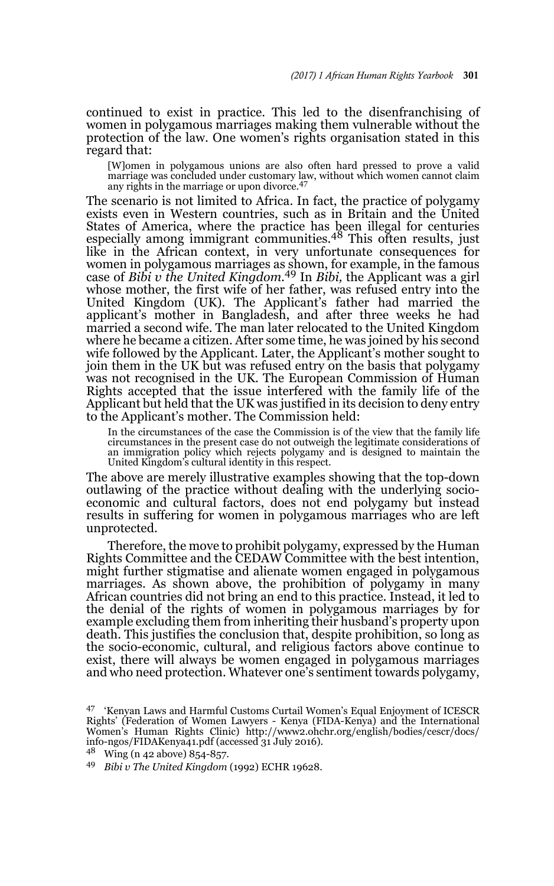continued to exist in practice. This led to the disenfranchising of women in polygamous marriages making them vulnerable without the protection of the law. One women's rights organisation stated in this regard that:

[W]omen in polygamous unions are also often hard pressed to prove a valid marriage was concluded under customary law, without which women cannot claim any rights in the marriage or upon divorce.<sup>47</sup>

The scenario is not limited to Africa. In fact, the practice of polygamy exists even in Western countries, such as in Britain and the United States of America, where the practice has been illegal for centuries especially among immigrant communities.<sup>48</sup> This often results, just like in the African context, in very unfortunate consequences for women in polygamous marriages as shown, for example, in the famous case of *Bibi v the United Kingdom.*49 In *Bibi,* the Applicant was a girl whose mother, the first wife of her father, was refused entry into the United Kingdom (UK). The Applicant's father had married the applicant's mother in Bangladesh, and after three weeks he had married a second wife. The man later relocated to the United Kingdom where he became a citizen. After some time, he was joined by his second wife followed by the Applicant. Later, the Applicant's mother sought to join them in the UK but was refused entry on the basis that polygamy was not recognised in the UK. The European Commission of Human Rights accepted that the issue interfered with the family life of the Applicant but held that the UK was justified in its decision to deny entry to the Applicant's mother. The Commission held:

In the circumstances of the case the Commission is of the view that the family life circumstances in the present case do not outweigh the legitimate considerations of an immigration policy which rejects polygamy and is designed to maintain the United Kingdom's cultural identity in this respect.

The above are merely illustrative examples showing that the top-down outlawing of the practice without dealing with the underlying socioeconomic and cultural factors, does not end polygamy but instead results in suffering for women in polygamous marriages who are left unprotected.

Therefore, the move to prohibit polygamy, expressed by the Human Rights Committee and the CEDAW Committee with the best intention, might further stigmatise and alienate women engaged in polygamous marriages. As shown above, the prohibition of polygamy in many African countries did not bring an end to this practice. Instead, it led to the denial of the rights of women in polygamous marriages by for example excluding them from inheriting their husband's property upon death. This justifies the conclusion that, despite prohibition, so long as the socio-economic, cultural, and religious factors above continue to exist, there will always be women engaged in polygamous marriages and who need protection. Whatever one's sentiment towards polygamy,

<sup>47</sup> 'Kenyan Laws and Harmful Customs Curtail Women's Equal Enjoyment of ICESCR Rights' (Federation of Women Lawyers - Kenya (FIDA-Kenya) and the International Women's Human Rights Clinic) http://www2.ohchr.org/english/bodies/cescr/docs/ info-ngos/FIDAKenya41.pdf (accessed 31 July 2016).

<sup>48</sup> Wing (n 42 above) 854-857.

<sup>49</sup> *Bibi v The United Kingdom* (1992) ECHR 19628.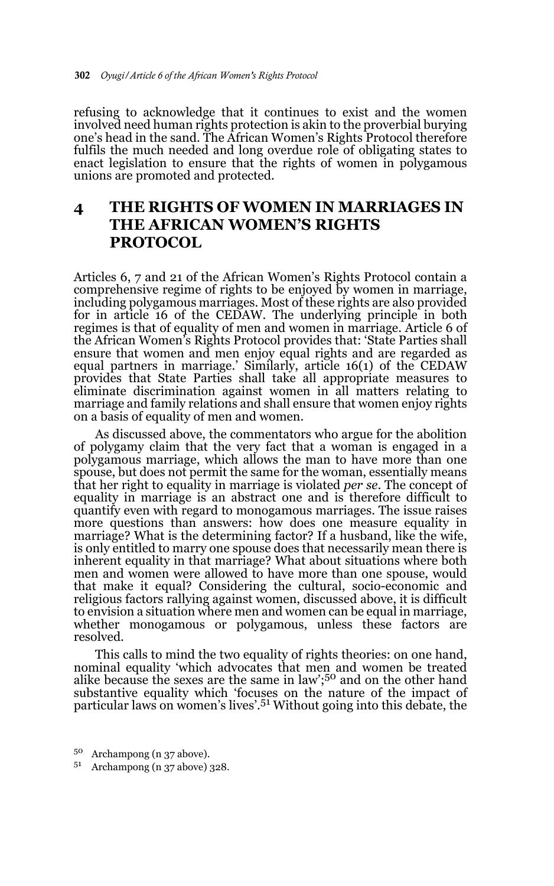refusing to acknowledge that it continues to exist and the women involved need human rights protection is akin to the proverbial burying one's head in the sand. The African Women's Rights Protocol therefore fulfils the much needed and long overdue role of obligating states to enact legislation to ensure that the rights of women in polygamous unions are promoted and protected.

# **4 THE RIGHTS OF WOMEN IN MARRIAGES IN THE AFRICAN WOMEN'S RIGHTS PROTOCOL**

Articles 6, 7 and 21 of the African Women's Rights Protocol contain a comprehensive regime of rights to be enjoyed by women in marriage, including polygamous marriages. Most of these rights are also provided for in article 16 of the CEDAW. The underlying principle in both regimes is that of equality of men and women in marriage. Article 6 of the African Women's Rights Protocol provides that: 'State Parties shall ensure that women and men enjoy equal rights and are regarded as equal partners in marriage.' Similarly, article 16(1) of the CEDAW provides that State Parties shall take all appropriate measures to eliminate discrimination against women in all matters relating to marriage and family relations and shall ensure that women enjoy rights on a basis of equality of men and women.

As discussed above, the commentators who argue for the abolition of polygamy claim that the very fact that a woman is engaged in a polygamous marriage, which allows the man to have more than one spouse, but does not permit the same for the woman, essentially means that her right to equality in marriage is violated *per se*. The concept of equality in marriage is an abstract one and is therefore difficult to quantify even with regard to monogamous marriages. The issue raises more questions than answers: how does one measure equality in marriage? What is the determining factor? If a husband, like the wife, is only entitled to marry one spouse does that necessarily mean there is inherent equality in that marriage? What about situations where both men and women were allowed to have more than one spouse, would that make it equal? Considering the cultural, socio-economic and religious factors rallying against women, discussed above, it is difficult to envision a situation where men and women can be equal in marriage, whether monogamous or polygamous, unless these factors are resolved.

This calls to mind the two equality of rights theories: on one hand, nominal equality 'which advocates that men and women be treated alike because the sexes are the same in law';50 and on the other hand substantive equality which 'focuses on the nature of the impact of<br>particular laws on women's lives'.<sup>51</sup> Without going into this debate, the

- <sup>50</sup> Archampong (n 37 above).
- <sup>51</sup> Archampong (n 37 above) 328.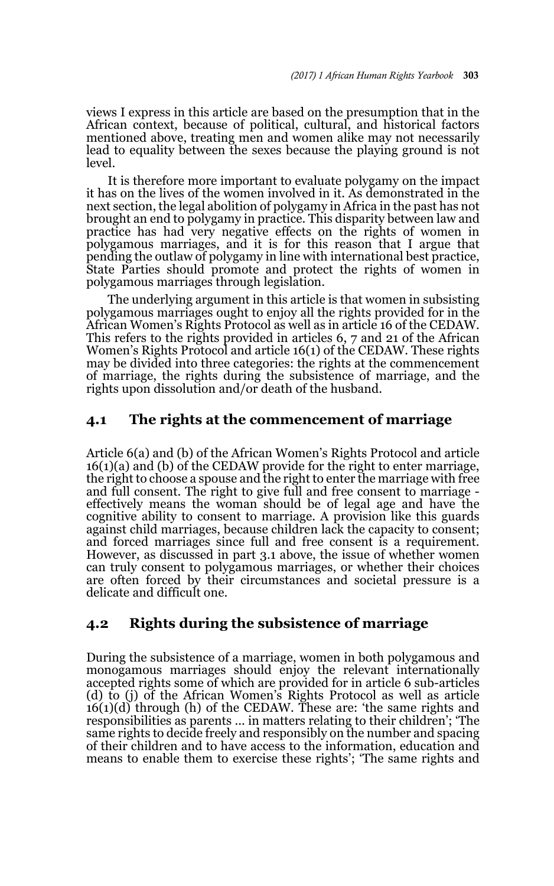views I express in this article are based on the presumption that in the African context, because of political, cultural, and historical factors mentioned above, treating men and women alike may not necessarily lead to equality between the sexes because the playing ground is not level.

It is therefore more important to evaluate polygamy on the impact it has on the lives of the women involved in it. As demonstrated in the next section, the legal abolition of polygamy in Africa in the past has not brought an end to polygamy in practice. This disparity between law and practice has had very negative effects on the rights of women in polygamous marriages, and it is for this reason that I argue that pending the outlaw of polygamy in line with international best practice, State Parties should promote and protect the rights of women in polygamous marriages through legislation.

The underlying argument in this article is that women in subsisting polygamous marriages ought to enjoy all the rights provided for in the African Women's Rights Protocol as well as in article 16 of the CEDAW. This refers to the rights provided in articles 6, 7 and 21 of the African Women's Rights Protocol and article 16(1) of the CEDAW. These rights may be divided into three categories: the rights at the commencement of marriage, the rights during the subsistence of marriage, and the rights upon dissolution and/or death of the husband.

#### **4.1 The rights at the commencement of marriage**

Article 6(a) and (b) of the African Women's Rights Protocol and article 16(1)(a) and (b) of the CEDAW provide for the right to enter marriage, the right to choose a spouse and the right to enter the marriage with free and full consent. The right to give full and free consent to marriage effectively means the woman should be of legal age and have the cognitive ability to consent to marriage. A provision like this guards against child marriages, because children lack the capacity to consent; and forced marriages since full and free consent is a requirement. However, as discussed in part 3.1 above, the issue of whether women can truly consent to polygamous marriages, or whether their choices are often forced by their circumstances and societal pressure is a delicate and difficult one.

# **4.2 Rights during the subsistence of marriage**

During the subsistence of a marriage, women in both polygamous and monogamous marriages should enjoy the relevant internationally accepted rights some of which are provided for in article 6 sub-articles (d) to (j) of the African Women's Rights Protocol as well as article  $16(1)(d)$  through (h) of the CEDAW. These are: 'the same rights and responsibilities as parents ... in matters relating to their children'; 'The same rights to decide freely and responsibly on the number and spacing of their children and to have access to the information, education and means to enable them to exercise these rights'; 'The same rights and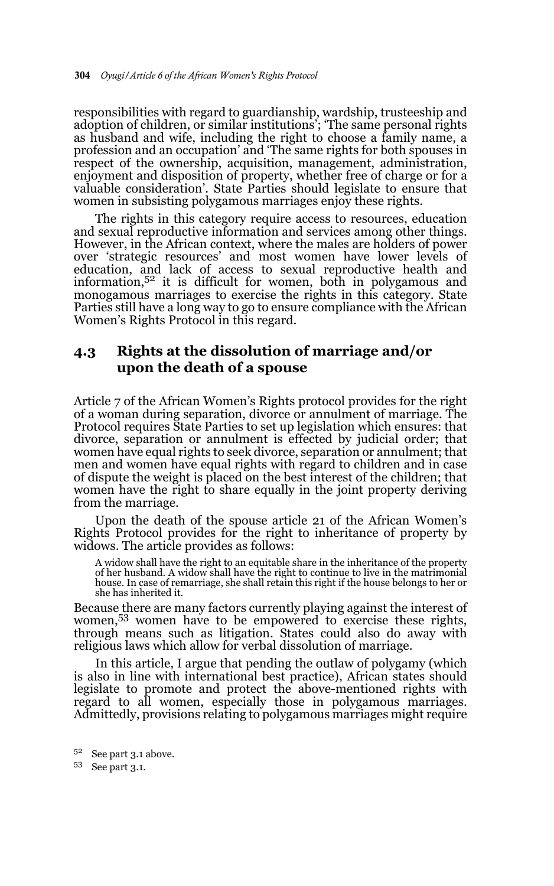responsibilities with regard to guardianship, wardship, trusteeship and adoption of children, or similar institutions'; 'The same personal rights as husband and wife, including the right to choose a family name, a profession and an occupation' and 'The same rights for both spouses in respect of the ownership, acquisition, management, administration, enjoyment and disposition of property, whether free of charge or for a valuable consideration'. State Parties should legislate to ensure that women in subsisting polygamous marriages enjoy these rights.

The rights in this category require access to resources, education and sexual reproductive information and services among other things. However, in the African context, where the males are holders of power over 'strategic resources' and most women have lower levels of education, and lack of access to sexual reproductive health and information,52 it is difficult for women, both in polygamous and monogamous marriages to exercise the rights in this category. State Parties still have a long way to go to ensure compliance with the African Women's Rights Protocol in this regard.

### **4.3 Rights at the dissolution of marriage and/or upon the death of a spouse**

Article 7 of the African Women's Rights protocol provides for the right of a woman during separation, divorce or annulment of marriage. The Protocol requires State Parties to set up legislation which ensures: that divorce, separation or annulment is effected by judicial order; that women have equal rights to seek divorce, separation or annulment; that men and women have equal rights with regard to children and in case of dispute the weight is placed on the best interest of the children; that women have the right to share equally in the joint property deriving from the marriage.

Upon the death of the spouse article 21 of the African Women's Rights Protocol provides for the right to inheritance of property by widows. The article provides as follows:

A widow shall have the right to an equitable share in the inheritance of the property of her husband. A widow shall have the right to continue to live in the matrimonial house. In case of remarriage, she shall retain this right if the house belongs to her or she has inherited it.

Because there are many factors currently playing against the interest of women,53 women have to be empowered to exercise these rights, through means such as litigation. States could also do away with religious laws which allow for verbal dissolution of marriage.

In this article, I argue that pending the outlaw of polygamy (which is also in line with international best practice), African states should legislate to promote and protect the above-mentioned rights with regard to all women, especially those in polygamous marriages. Admittedly, provisions relating to polygamous marriages might require

<sup>52</sup> See part 3.1 above.

<sup>53</sup> See part 3.1.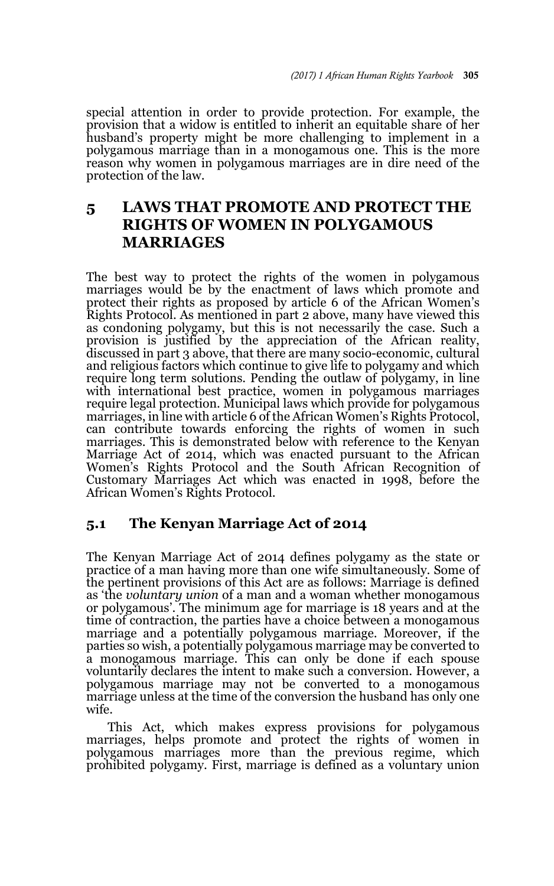special attention in order to provide protection. For example, the provision that a widow is entitled to inherit an equitable share of her husband's property might be more challenging to implement in a polygamous marriage than in a monogamous one. This is the more reason why women in polygamous marriages are in dire need of the protection of the law.

# **5 LAWS THAT PROMOTE AND PROTECT THE RIGHTS OF WOMEN IN POLYGAMOUS MARRIAGES**

The best way to protect the rights of the women in polygamous marriages would be by the enactment of laws which promote and protect their rights as proposed by article 6 of the African Women's Rights Protocol. As mentioned in part 2 above, many have viewed this as condoning polygamy, but this is not necessarily the case. Such a provision is justified by the appreciation of the African reality, discussed in part 3 above, that there are many socio-economic, cultural and religious factors which continue to give life to polygamy and which require long term solutions. Pending the outlaw of polygamy, in line with international best practice, women in polygamous marriages require legal protection. Municipal laws which provide for polygamous marriages, in line with article 6 of the African Women's Rights Protocol, can contribute towards enforcing the rights of women in such marriages. This is demonstrated below with reference to the Kenyan Marriage Act of 2014, which was enacted pursuant to the African Women's Rights Protocol and the South African Recognition of Customary Marriages Act which was enacted in 1998, before the African Women's Rights Protocol.

#### **5.1 The Kenyan Marriage Act of 2014**

The Kenyan Marriage Act of 2014 defines polygamy as the state or practice of a man having more than one wife simultaneously. Some of the pertinent provisions of this Act are as follows: Marriage is defined as 'the *voluntary union* of a man and a woman whether monogamous or polygamous'. The minimum age for marriage is 18 years and at the time of contraction, the parties have a choice between a monogamous marriage and a potentially polygamous marriage. Moreover, if the parties so wish, a potentially polygamous marriage may be converted to a monogamous marriage. This can only be done if each spouse voluntarily declares the intent to make such a conversion. However, a polygamous marriage may not be converted to a monogamous marriage unless at the time of the conversion the husband has only one wife.

This Act, which makes express provisions for polygamous marriages, helps promote and protect the rights of women in polygamous marriages more than the previous regime, which prohibited polygamy. First, marriage is defined as a voluntary union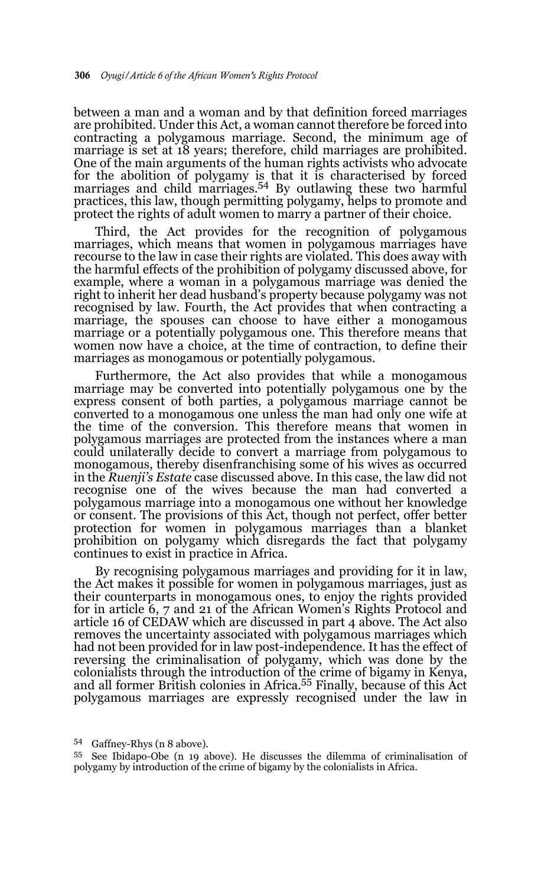between a man and a woman and by that definition forced marriages are prohibited. Under this Act, a woman cannot therefore be forced into contracting a polygamous marriage. Second, the minimum age of marriage is set at 18 years; therefore, child marriages are prohibited. One of the main arguments of the human rights activists who advocate for the abolition of polygamy is that it is characterised by forced marriages and child marriages.54 By outlawing these two harmful practices, this law, though permitting polygamy, helps to promote and protect the rights of adult women to marry a partner of their choice.

Third, the Act provides for the recognition of polygamous marriages, which means that women in polygamous marriages have recourse to the law in case their rights are violated. This does away with the harmful effects of the prohibition of polygamy discussed above, for example, where a woman in a polygamous marriage was denied the right to inherit her dead husband's property because polygamy was not recognised by law. Fourth, the Act provides that when contracting a marriage, the spouses can choose to have either a monogamous marriage or a potentially polygamous one. This therefore means that women now have a choice, at the time of contraction, to define their marriages as monogamous or potentially polygamous.

Furthermore, the Act also provides that while a monogamous marriage may be converted into potentially polygamous one by the express consent of both parties, a polygamous marriage cannot be converted to a monogamous one unless the man had only one wife at the time of the conversion. This therefore means that women in polygamous marriages are protected from the instances where a man could unilaterally decide to convert a marriage from polygamous to monogamous, thereby disenfranchising some of his wives as occurred in the *Ruenji's Estate* case discussed above. In this case, the law did not recognise one of the wives because the man had converted a polygamous marriage into a monogamous one without her knowledge or consent. The provisions of this Act, though not perfect, offer better protection for women in polygamous marriages than a blanket prohibition on polygamy which disregards the fact that polygamy continues to exist in practice in Africa.

By recognising polygamous marriages and providing for it in law, the Act makes it possible for women in polygamous marriages, just as their counterparts in monogamous ones, to enjoy the rights provided for in article 6, 7 and 21 of the African Women's Rights Protocol and article 16 of CEDAW which are discussed in part 4 above. The Act also removes the uncertainty associated with polygamous marriages which had not been provided for in law post-independence. It has the effect of reversing the criminalisation of polygamy, which was done by the colonialists through the introduction of the crime of bigamy in Kenya, and all former British colonies in Africa.55 Finally, because of this Act polygamous marriages are expressly recognised under the law in

 $54$  Gaffney-Rhys (n 8 above).<br> $55$  See Ibidapo-Obe (n 19 above). He discusses the dilemma of criminalisation of polygamy by introduction of the crime of bigamy by the colonialists in Africa.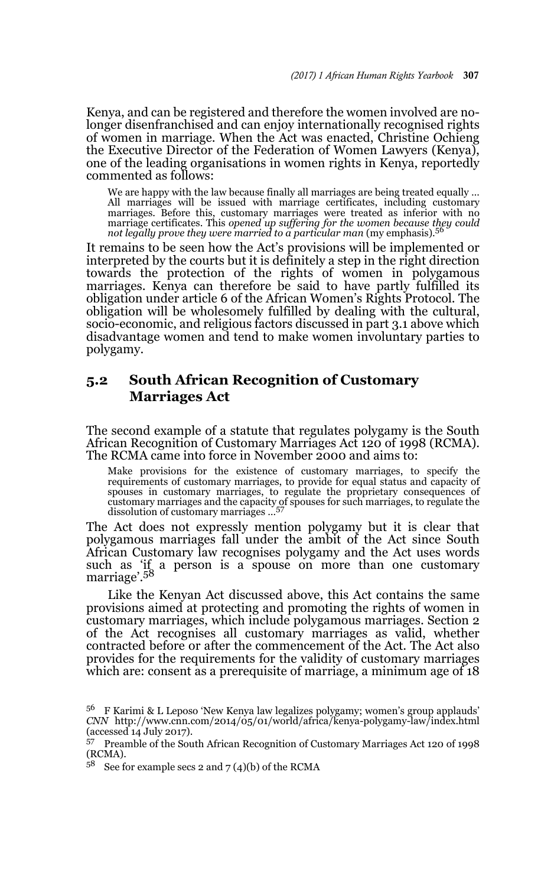Kenya, and can be registered and therefore the women involved are nolonger disenfranchised and can enjoy internationally recognised rights of women in marriage. When the Act was enacted, Christine Ochieng the Executive Director of the Federation of Women Lawyers (Kenya), one of the leading organisations in women rights in Kenya, reportedly commented as follows:

We are happy with the law because finally all marriages are being treated equally … All marriages will be issued with marriage certificates, including customary marriages. Before this, customary marriages were treated as inferior with no marriage certificates. This *opened up suffering for the women because they could not legally prove they were married to a particular man* (my emphasis).<sup>56</sup>

It remains to be seen how the Act's provisions will be implemented or interpreted by the courts but it is definitely a step in the right direction towards the protection of the rights of women in polygamous marriages. Kenya can therefore be said to have partly fulfilled its obligation under article 6 of the African Women's Rights Protocol. The obligation will be wholesomely fulfilled by dealing with the cultural, socio-economic, and religious factors discussed in part 3.1 above which disadvantage women and tend to make women involuntary parties to polygamy.

#### **5.2 South African Recognition of Customary Marriages Act**

The second example of a statute that regulates polygamy is the South African Recognition of Customary Marriages Act 120 of 1998 (RCMA). The RCMA came into force in November 2000 and aims to:

Make provisions for the existence of customary marriages, to specify the requirements of customary marriages, to provide for equal status and capacity of spouses in customary marriages, to regulate the proprietary conseque customary marriages and the capacity of spouses for such marriages, to regulate the dissolution of customary marriages …<sup>57</sup>

The Act does not expressly mention polygamy but it is clear that polygamous marriages fall under the ambit of the Act since South African Customary law recognises polygamy and the Act uses words such as 'if a person is a spouse on more than one customary marriage'.58

Like the Kenyan Act discussed above, this Act contains the same provisions aimed at protecting and promoting the rights of women in customary marriages, which include polygamous marriages. Section 2 of the Act recognises all customary marriages as valid, whether contracted before or after the commencement of the Act. The Act also provides for the requirements for the validity of customary marriages which are: consent as a prerequisite of marriage, a minimum age of 18

<sup>&</sup>lt;sup>56</sup> F Karimi & L Leposo 'New Kenya law legalizes polygamy; women's group applauds' *CNN* http://www.cnn.com/2014/05/01/world/africa/kenya-polygamy-law/index.html (accessed 14 July 2017).

<sup>57</sup> Preamble of the South African Recognition of Customary Marriages Act 120 of 1998 (RCMA).

 $5^8$  See for example secs 2 and 7 (4)(b) of the RCMA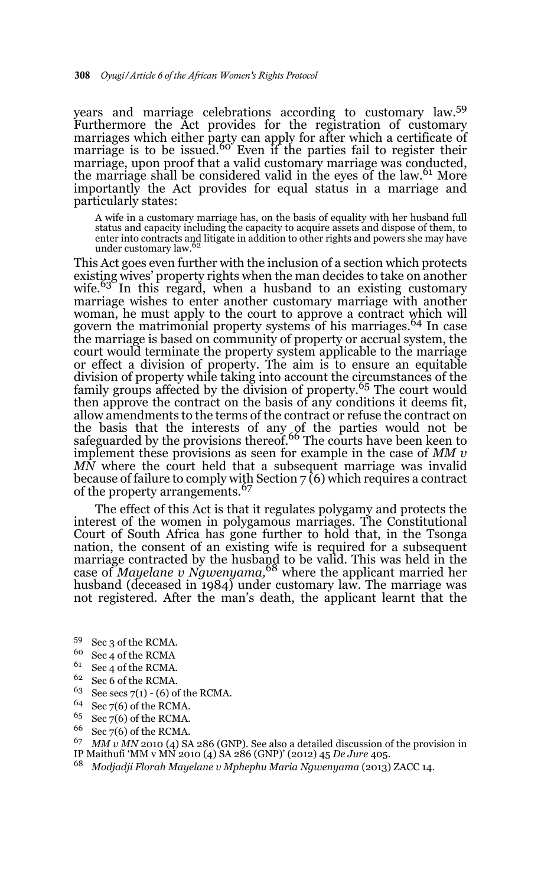years and marriage celebrations according to customary law.59 Furthermore the Act provides for the registration of customary marriages which either party can apply for after which a certificate of<br>marriage is to be issued.<sup>60</sup> Even if the parties fail to register their marriage, upon proof that a valid customary marriage was conducted, the marriage shall be considered valid in the eyes of the law.<sup>61</sup> More importantly the Act provides for equal status in a marriage and particularly states:

A wife in a customary marriage has, on the basis of equality with her husband full status and capacity including the capacity to acquire assets and dispose of them, to enter into contracts and litigate in addition to other rights and powers she may have under customary law.<sup>62</sup>

This Act goes even further with the inclusion of a section which protects existing wives' property rights when the man decides to take on another wife.<sup>63</sup> In this regard, when a husband to an existing customary marriage wishes to enter another customary marriage with another woman, he must apply to the court to approve a contract which will govern the matrimonial property systems of his marriages.<sup>64</sup> In case the marriage is based on community of property or accrual system, the court would terminate the property system applicable to the marriage or effect a division of property. The aim is to ensure an equitable division of property while taking into account the circumstances of the family groups affected by the division of property.65 The court would then approve the contract on the basis of any conditions it deems fit, allow amendments to the terms of the contract or refuse the contract on the basis that the interests of any of the parties would not be safeguarded by the provisions thereof.<sup>66</sup> The courts have been keen to implement these provisions as seen for example in the case of *MM v MN* where the court held that a subsequent marriage was invalid because of failure to comply with Section  $7(6)$  which requires a contract of the property arrangements.<sup>67</sup>

The effect of this Act is that it regulates polygamy and protects the interest of the women in polygamous marriages. The Constitutional Court of South Africa has gone further to hold that, in the Tsonga nation, the consent of an existing wife is required for a subsequent marriage contracted by the husband to be valid. This was held in the case of *Mayelane v Ngwenyama,*<sup>68</sup> where the applicant married her husband (deceased in 1984) under customary law. The marriage was not registered. After the man's death, the applicant learnt that the

- <sup>59</sup> Sec 3 of the RCMA.
- $^{60}$  Sec 4 of the RCMA
- $^{61}$  Sec 4 of the RCMA.<br> $^{62}$  Sec 6 of the PCMA
- $^{62}$  Sec 6 of the RCMA.<br><sup>63</sup> See secs 7(1) (6) of
- See secs  $7(1) (6)$  of the RCMA.
- $64$  Sec 7(6) of the RCMA.
- $65$  Sec 7(6) of the RCMA.
- $66$  Sec 7(6) of the RCMA.
- <sup>67</sup> *MM v MN* 2010 (4) SA 286 (GNP). See also a detailed discussion of the provision in
- IP Maithufi 'MM v MN 2010 (4) SA 286 (GNP)' (2012) 45 *De Jure* 405.
- <sup>68</sup> *Modjadji Florah Mayelane v Mphephu Maria Ngwenyama* (2013) ZACC 14.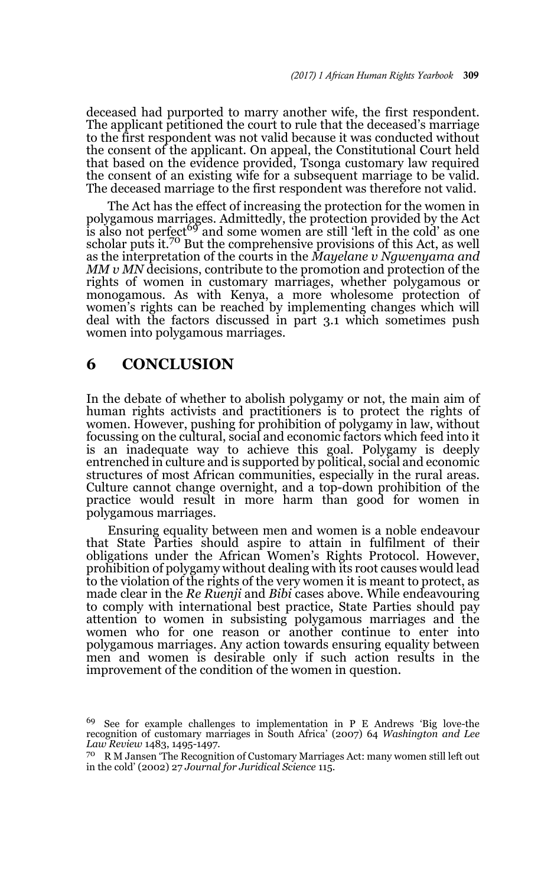deceased had purported to marry another wife, the first respondent. The applicant petitioned the court to rule that the deceased's marriage to the first respondent was not valid because it was conducted without the consent of the applicant. On appeal, the Constitutional Court held that based on the evidence provided, Tsonga customary law required the consent of an existing wife for a subsequent marriage to be valid. The deceased marriage to the first respondent was therefore not valid.

The Act has the effect of increasing the protection for the women in polygamous marriages. Admittedly, the protection provided by the Act<br>is also not perfect<sup>69</sup> and some women are still 'left in the cold' as one scholar puts it.<sup>70</sup> But the comprehensive provisions of this Act, as well as the interpretation of the courts in the *Mayelane v Ngwenyama and MM v MN* decisions, contribute to the promotion and protection of the rights of women in customary marriages, whether polygamous or monogamous. As with Kenya, a more wholesome protection of women's rights can be reached by implementing changes which will deal with the factors discussed in part 3.1 which sometimes push women into polygamous marriages.

# **6 CONCLUSION**

In the debate of whether to abolish polygamy or not, the main aim of human rights activists and practitioners is to protect the rights of women. However, pushing for prohibition of polygamy in law, without focussing on the cultural, social and economic factors which feed into it is an inadequate way to achieve this goal. Polygamy is deeply entrenched in culture and is supported by political, social and economic structures of most African communities, especially in the rural areas. Culture cannot change overnight, and a top-down prohibition of the practice would result in more harm than good for women in polygamous marriages.

Ensuring equality between men and women is a noble endeavour that State Parties should aspire to attain in fulfilment of their obligations under the African Women's Rights Protocol. However, prohibition of polygamy without dealing with its root causes would lead to the violation of the rights of the very women it is meant to protect, as made clear in the *Re Ruenji* and *Bibi* cases above. While endeavouring to comply with international best practice, State Parties should pay attention to women in subsisting polygamous marriages and the women who for one reason or another continue to enter into polygamous marriages. Any action towards ensuring equality between men and women is desirable only if such action results in the improvement of the condition of the women in question.

<sup>69</sup> See for example challenges to implementation in P E Andrews 'Big love-the recognition of customary marriages in South Africa' (2007) 64 *Washington and Lee Law Review* 1483, 1495-1497*.*

<sup>70</sup> R M Jansen 'The Recognition of Customary Marriages Act: many women still left out in the cold' (2002) 27 *Journal for Juridical Science* 115.